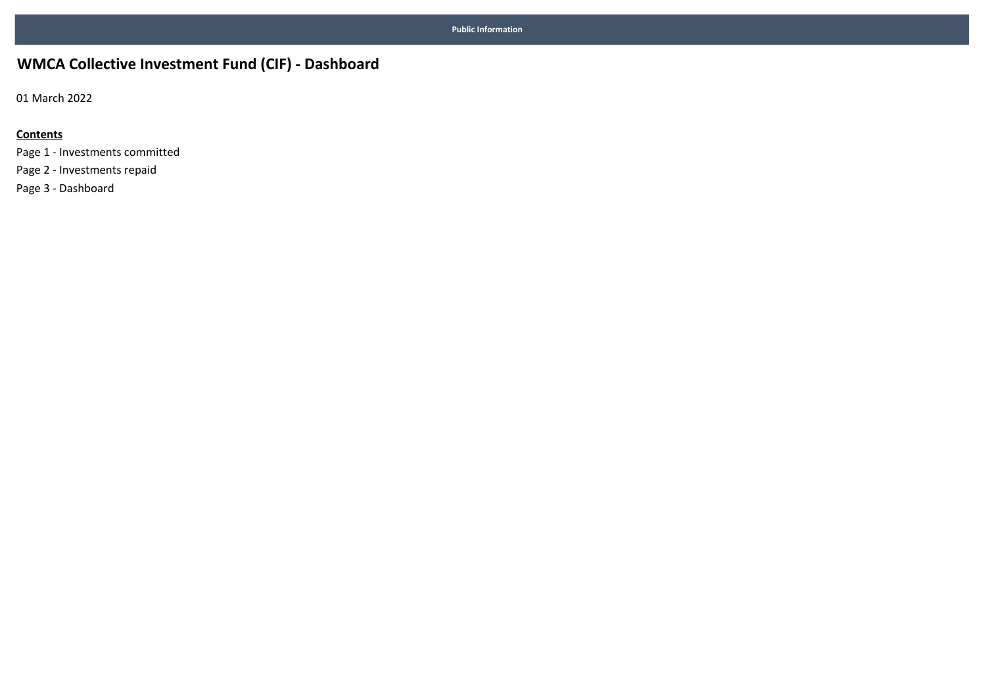## **WMCA Collective Investment Fund (CIF) - Dashboard**

01 March 2022

### **Contents**

Page 1 - Investments committed Page 2 - Investments repaid Page 3 - Dashboard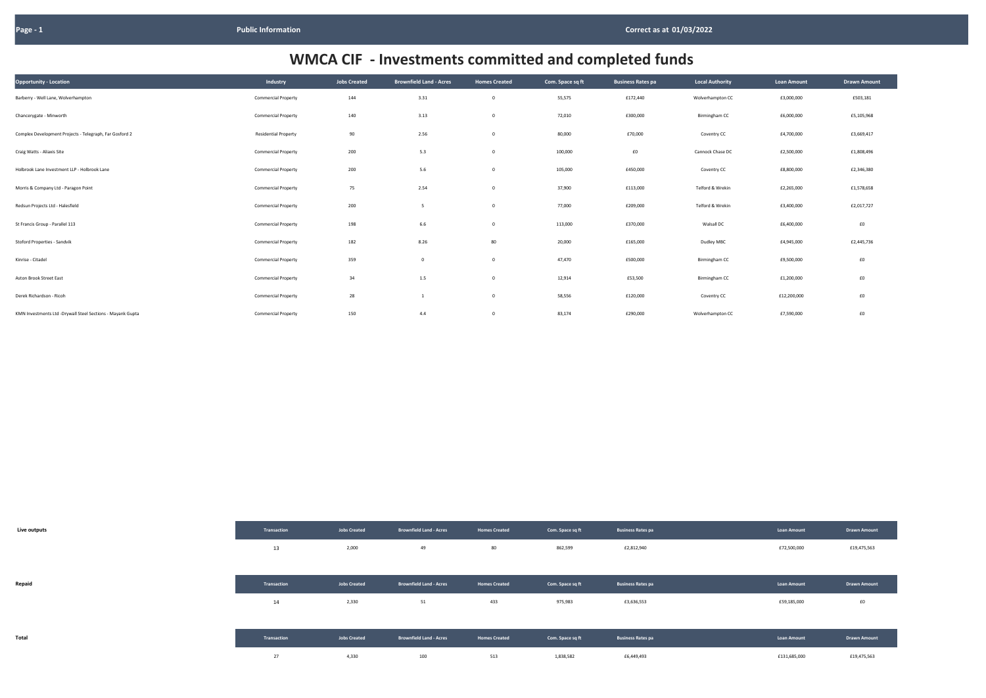| Opportunity - Location                                     | Industry                    | Jobs Created | <b>Brownfield Land - Acres</b> | <b>Homes Created</b> | Com. Space sq ft | <b>Business Rates pa</b> | <b>Local Authority</b> | Loan Amount | <b>Drawn Amount</b> |
|------------------------------------------------------------|-----------------------------|--------------|--------------------------------|----------------------|------------------|--------------------------|------------------------|-------------|---------------------|
| Barberry - Well Lane, Wolverhampton                        | <b>Commercial Property</b>  | 144          | 3.31                           | $\mathbf 0$          | 55,575           | £172,440                 | Wolverhampton CC       | £3,000,000  | £503,181            |
| Chancerygate - Minworth                                    | <b>Commercial Property</b>  | 140          | 3.13                           | $\mathbf 0$          | 72,010           | £300,000                 | Birmingham CC          | £6,000,000  | £5,105,968          |
| Complex Development Projects - Telegraph, Far Gosford 2    | <b>Residential Property</b> | 90           | 2.56                           | $\mathbf 0$          | 80,000           | £70,000                  | Coventry CC            | £4,700,000  | £3,669,417          |
| Craig Watts - Aliaxis Site                                 | <b>Commercial Property</b>  | 200          | 5.3                            | $\mathsf 0$          | 100,000          | £0                       | Cannock Chase DC       | £2,500,000  | £1,808,496          |
| Holbrook Lane Investment LLP - Holbrook Lane               | <b>Commercial Property</b>  | 200          | 5.6                            | $\mathsf 0$          | 105,000          | £450,000                 | Coventry CC            | £8,800,000  | £2,346,380          |
| Morris & Company Ltd - Paragon Point                       | <b>Commercial Property</b>  | 75           | 2.54                           | $\mathbf 0$          | 37,900           | £113,000                 | Telford & Wrekin       | £2,265,000  | £1,578,658          |
| Redsun Projects Ltd - Halesfield                           | <b>Commercial Property</b>  | 200          | 5                              | $\mathbf 0$          | 77,000           | £209,000                 | Telford & Wrekin       | £3,400,000  | £2,017,727          |
| St Francis Group - Parallel 113                            | <b>Commercial Property</b>  | 198          | 6.6                            | $\mathbf 0$          | 113,000          | £370,000                 | Walsall DC             | £6,400,000  | £0                  |
| Stoford Properties - Sandvik                               | <b>Commercial Property</b>  | 182          | 8.26                           | 80                   | 20,000           | £165,000                 | Dudley MBC             | £4,945,000  | £2,445,736          |
| Kinrise - Citadel                                          | <b>Commercial Property</b>  | 359          | $\Omega$                       | $\mathbf 0$          | 47,470           | £500,000                 | Birmingham CC          | £9,500,000  | £0                  |
| Aston Brook Street East                                    | <b>Commercial Property</b>  | 34           | 1.5                            | $\mathbf 0$          | 12,914           | £53,500                  | Birmingham CC          | £1,200,000  | £0                  |
| Derek Richardson - Ricoh                                   | <b>Commercial Property</b>  | 28           |                                | $\mathbf 0$          | 58,556           | £120,000                 | Coventry CC            | £12,200,000 | £0                  |
| KMN Investments Ltd -Drywall Steel Sections - Mayank Gupta | <b>Commercial Property</b>  | 150          | 4.4                            | $\mathbf 0$          | 83,174           | £290,000                 | Wolverhampton CC       | £7,590,000  | £0                  |

| Live outputs | Transaction | <b>Jobs Created</b> | <b>Brownfield Land - Acres</b> | <b>Homes Created</b> | Com. Space sq ft | <b>Business Rates pa</b> | <b>Loan Amount</b> | Drawn Amoun |
|--------------|-------------|---------------------|--------------------------------|----------------------|------------------|--------------------------|--------------------|-------------|
|              | 13          | 2,000               | 49                             | 80                   | 862,599          | £2,812,940               | £72,500,000        | £19,475,563 |
|              |             |                     |                                |                      |                  |                          |                    |             |
| Repaid       | Transaction | <b>Jobs Created</b> | <b>Brownfield Land - Acres</b> | <b>Homes Created</b> | Com. Space sq ft | Business Rates pa        | <b>Loan Amount</b> | Drawn Amoun |
|              | 14          | 2,330               | 51                             | 433                  | 975,983          | £3,636,553               | £59,185,000        | E0          |
|              |             |                     |                                |                      |                  |                          |                    |             |
| Total        | Transaction | <b>Jobs Created</b> | Brownfield Land - Acres        | <b>Homes Created</b> | Com. Space sq ft | <b>Business Rates pa</b> | <b>Loan Amount</b> | Drawn Amoun |
|              | 27          | 4,330               | 100                            | 513                  | 1,838,582        | £6,449,493               | £131,685,000       | £19,475,563 |

| <b>Loan Amount</b> | <b>Drawn Amount</b> |
|--------------------|---------------------|
| £3,000,000         | £503,181            |
| £6,000,000         | £5,105,968          |
| £4,700,000         | £3,669,417          |
| £2,500,000         | £1,808,496          |
| £8,800,000         | £2,346,380          |
| £2,265,000         | £1,578,658          |
| £3,400,000         | £2,017,727          |
| £6,400,000         | £0                  |
| £4,945,000         | £2,445,736          |
| £9,500,000         | £0                  |
| £1,200,000         | £0                  |
| £12,200,000        | £0                  |
| £7,590,000         | £0                  |

| <b>Loan Amount</b> | <b>Drawn Amount</b> |
|--------------------|---------------------|
| £72,500,000        | £19,475,563         |
|                    |                     |
| <b>Loan Amount</b> | <b>Drawn Amount</b> |
| £59,185,000        | £0                  |
|                    |                     |
| <b>Loan Amount</b> | <b>Drawn Amount</b> |
| £131,685,000       | £19,475,563         |

# **WMCA CIF - Investments committed and completed funds**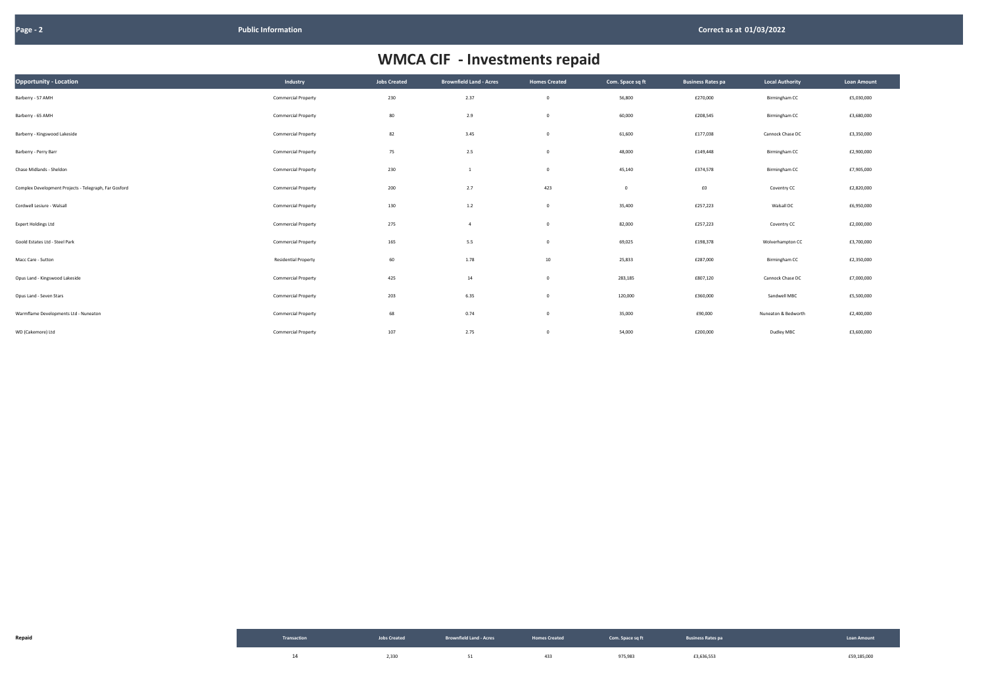| <b>Opportunity - Location</b>                         | Industry                    | <b>Jobs Created</b> | <b>Brownfield Land - Acres</b> | <b>Homes Created</b>    | Com. Space sq ft | <b>Business Rates pa</b> | <b>Local Authority</b> | Loan Amount |
|-------------------------------------------------------|-----------------------------|---------------------|--------------------------------|-------------------------|------------------|--------------------------|------------------------|-------------|
| Barberry - 57 AMH                                     | <b>Commercial Property</b>  | 230                 | 2.37                           | $\mathbf 0$             | 56,800           | £270,000                 | Birmingham CC          | £5,030,000  |
| Barberry - 65 AMH                                     | <b>Commercial Property</b>  | 80                  | 2.9                            | $\mathbf{0}$            | 60,000           | £208,545                 | Birmingham CC          | £3,680,000  |
| Barberry - Kingswood Lakeside                         | <b>Commercial Property</b>  | 82                  | 3.45                           | $\overline{\mathbf{0}}$ | 61,600           | £177,038                 | Cannock Chase DC       | £3,350,000  |
| Barberry - Perry Barr                                 | <b>Commercial Property</b>  | 75                  | 2.5                            | $\mathbf{0}$            | 48,000           | £149,448                 | Birmingham CC          | £2,900,000  |
| Chase Midlands - Sheldon                              | <b>Commercial Property</b>  | 230                 | 1                              | $\overline{\mathbf{0}}$ | 45,140           | £374,578                 | Birmingham CC          | £7,905,000  |
| Complex Development Projects - Telegraph, Far Gosford | <b>Commercial Property</b>  | 200                 | 2.7                            | 423                     | $\overline{0}$   | £0                       | Coventry CC            | £2,820,000  |
| Cordwell Lesiure - Walsall                            | <b>Commercial Property</b>  | 130                 | 1.2                            | $\overline{\mathbf{0}}$ | 35,400           | £257,223                 | Walsall DC             | £6,950,000  |
| <b>Expert Holdings Ltd</b>                            | <b>Commercial Property</b>  | 275                 | $\overline{4}$                 | $\overline{\mathbf{0}}$ | 82,000           | £257,223                 | Coventry CC            | £2,000,000  |
| Goold Estates Ltd - Steel Park                        | <b>Commercial Property</b>  | 165                 | 5.5                            | $\overline{\mathbf{0}}$ | 69,025           | £198,378                 | Wolverhampton CC       | £3,700,000  |
| Macc Care - Sutton                                    | <b>Residential Property</b> | 60                  | 1.78                           | 10                      | 25,833           | £287,000                 | Birmingham CC          | £2,350,000  |
| Opus Land - Kingswood Lakeside                        | <b>Commercial Property</b>  | 425                 | 14                             | $\mathbf{0}$            | 283,185          | £807,120                 | Cannock Chase DC       | £7,000,000  |
| Opus Land - Seven Stars                               | <b>Commercial Property</b>  | 203                 | 6.35                           | $\mathbf{0}$            | 120,000          | £360,000                 | Sandwell MBC           | £5,500,000  |
| Warmflame Developments Ltd - Nuneaton                 | <b>Commercial Property</b>  | 68                  | 0.74                           | $\mathbf{0}$            | 35,000           | £90,000                  | Nuneaton & Bedworth    | £2,400,000  |
| WD (Cakemore) Ltd                                     | <b>Commercial Property</b>  | 107                 | 2.75                           | $\mathbf 0$             | 54,000           | £200,000                 | Dudley MBC             | £3,600,000  |

| Repaid | Transaction | Jobs Created <b>Report Follow Brownfield Land - Acres</b> Records <b>Report Follow Records</b> Com. Space sq ft Business Rates pa |     |         |            | Loan Amoun  |
|--------|-------------|-----------------------------------------------------------------------------------------------------------------------------------|-----|---------|------------|-------------|
|        |             | 2,330 51                                                                                                                          | 433 | 975,983 | £3,636,553 | £59,185,000 |

| <b>Local Authority</b> | <b>Loan Amount</b> |
|------------------------|--------------------|
| Birmingham CC          | £5,030,000         |
| Birmingham CC          | £3,680,000         |
| Cannock Chase DC       | £3,350,000         |
| Birmingham CC          | £2,900,000         |
| <b>Birmingham CC</b>   | £7,905,000         |
| Coventry CC            | £2,820,000         |
| Walsall DC             | £6,950,000         |
| Coventry CC            | £2,000,000         |
| Wolverhampton CC       | £3,700,000         |
| Birmingham CC          | £2,350,000         |
| Cannock Chase DC       | £7,000,000         |
| Sandwell MBC           | £5,500,000         |
| Nuneaton & Bedworth    | £2,400,000         |
| Dudley MBC             | £3,600,000         |

# **WMCA CIF - Investments repaid**